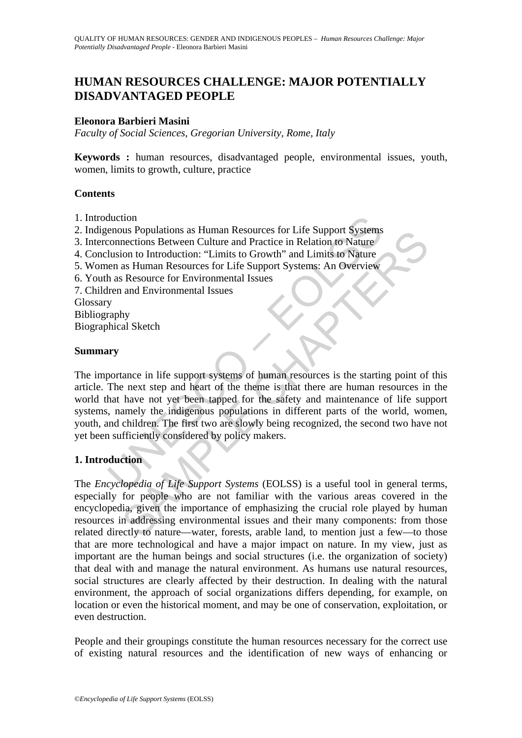# **HUMAN RESOURCES CHALLENGE: MAJOR POTENTIALLY DISADVANTAGED PEOPLE**

#### **Eleonora Barbieri Masini**

*Faculty of Social Sciences, Gregorian University, Rome, Italy* 

**Keywords :** human resources, disadvantaged people, environmental issues, youth, women, limits to growth, culture, practice

#### **Contents**

- 1. Introduction
- 2. Indigenous Populations as Human Resources for Life Support Systems
- 3. Interconnections Between Culture and Practice in Relation to Nature
- 4. Conclusion to Introduction: "Limits to Growth" and Limits to Nature
- 5. Women as Human Resources for Life Support Systems: An Overview
- 6. Youth as Resource for Environmental Issues
- 7. Children and Environmental Issues

Glossary

Bibliography

Biographical Sketch

#### **Summary**

duction<br>
enous Populations as Human Resources for Life Support Systems<br>
connections Between Culture and Practice in Relation to Nature<br>
lusion to Introduction: "Limits to Growth" and Limits to Nature<br>
en as Human Resources Solutions as Human Resources for Life Support Systems<br>
There is the solution of Nature<br>
mections Between Culture and Practice in Relation to Nature<br>
as Human Resources for Life Support Systems: An Overview<br>
as Resources fo The importance in life support systems of human resources is the starting point of this article. The next step and heart of the theme is that there are human resources in the world that have not yet been tapped for the safety and maintenance of life support systems, namely the indigenous populations in different parts of the world, women, youth, and children. The first two are slowly being recognized, the second two have not yet been sufficiently considered by policy makers.

## **1. Introduction**

The *Encyclopedia of Life Support Systems* (EOLSS) is a useful tool in general terms, especially for people who are not familiar with the various areas covered in the encyclopedia, given the importance of emphasizing the crucial role played by human resources in addressing environmental issues and their many components: from those related directly to nature—water, forests, arable land, to mention just a few—to those that are more technological and have a major impact on nature. In my view, just as important are the human beings and social structures (i.e. the organization of society) that deal with and manage the natural environment. As humans use natural resources, social structures are clearly affected by their destruction. In dealing with the natural environment, the approach of social organizations differs depending, for example, on location or even the historical moment, and may be one of conservation, exploitation, or even destruction.

People and their groupings constitute the human resources necessary for the correct use of existing natural resources and the identification of new ways of enhancing or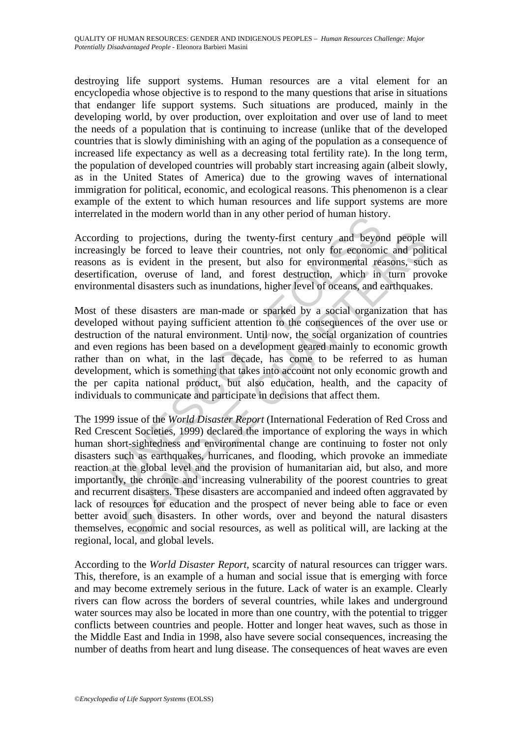destroying life support systems. Human resources are a vital element for an encyclopedia whose objective is to respond to the many questions that arise in situations that endanger life support systems. Such situations are produced, mainly in the developing world, by over production, over exploitation and over use of land to meet the needs of a population that is continuing to increase (unlike that of the developed countries that is slowly diminishing with an aging of the population as a consequence of increased life expectancy as well as a decreasing total fertility rate). In the long term, the population of developed countries will probably start increasing again (albeit slowly, as in the United States of America) due to the growing waves of international immigration for political, economic, and ecological reasons. This phenomenon is a clear example of the extent to which human resources and life support systems are more interrelated in the modern world than in any other period of human history.

According to projections, during the twenty-first century and beyond people will increasingly be forced to leave their countries, not only for economic and political reasons as is evident in the present, but also for environmental reasons, such as desertification, overuse of land, and forest destruction, which in turn provoke environmental disasters such as inundations, higher level of oceans, and earthquakes.

the metal in the modern world than in any other period or numian instor-<br>ing to projections, during the twenty-first century and beyor<br>mgly be forced to leave their countries, not only for economic<br>as is evident in the pre Most of these disasters are man-made or sparked by a social organization that has developed without paying sufficient attention to the consequences of the over use or destruction of the natural environment. Until now, the social organization of countries and even regions has been based on a development geared mainly to economic growth rather than on what, in the last decade, has come to be referred to as human development, which is something that takes into account not only economic growth and the per capita national product, but also education, health, and the capacity of individuals to communicate and participate in decisions that affect them.

to projections, during the twenty-first century and beyond people<br>y be forced to leave their countries, not only for economic and poli<br>is evident in the present, but also for environmental reasons, such<br>ion, overuse of lan The 1999 issue of the *World Disaster Report* (International Federation of Red Cross and Red Crescent Societies, 1999) declared the importance of exploring the ways in which human short-sightedness and environmental change are continuing to foster not only disasters such as earthquakes, hurricanes, and flooding, which provoke an immediate reaction at the global level and the provision of humanitarian aid, but also, and more importantly, the chronic and increasing vulnerability of the poorest countries to great and recurrent disasters. These disasters are accompanied and indeed often aggravated by lack of resources for education and the prospect of never being able to face or even better avoid such disasters. In other words, over and beyond the natural disasters themselves, economic and social resources, as well as political will, are lacking at the regional, local, and global levels.

According to the *World Disaster Report*, scarcity of natural resources can trigger wars. This, therefore, is an example of a human and social issue that is emerging with force and may become extremely serious in the future. Lack of water is an example. Clearly rivers can flow across the borders of several countries, while lakes and underground water sources may also be located in more than one country, with the potential to trigger conflicts between countries and people. Hotter and longer heat waves, such as those in the Middle East and India in 1998, also have severe social consequences, increasing the number of deaths from heart and lung disease. The consequences of heat waves are even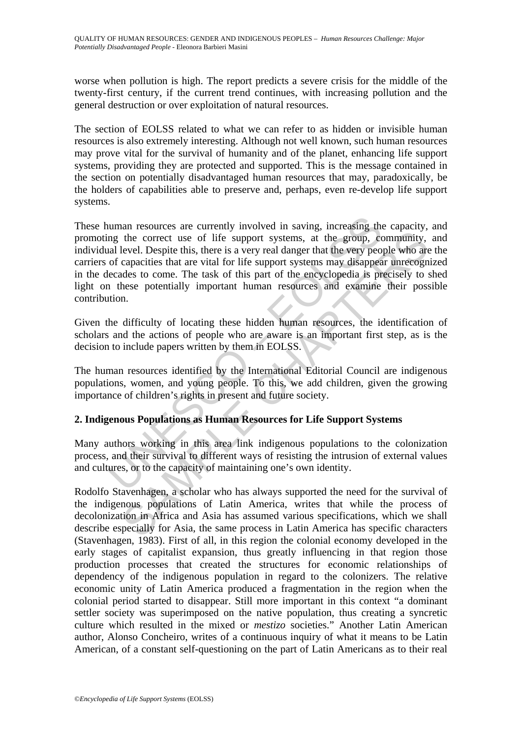worse when pollution is high. The report predicts a severe crisis for the middle of the twenty-first century, if the current trend continues, with increasing pollution and the general destruction or over exploitation of natural resources.

The section of EOLSS related to what we can refer to as hidden or invisible human resources is also extremely interesting. Although not well known, such human resources may prove vital for the survival of humanity and of the planet, enhancing life support systems, providing they are protected and supported. This is the message contained in the section on potentially disadvantaged human resources that may, paradoxically, be the holders of capabilities able to preserve and, perhaps, even re-develop life support systems.

numan resources are currently involved in saving, increasing the may the correct use of life support systems, at the group, coal level. Despite this, there is a very real danger that the very peop of capacities that are vi the correct use of life support systems, at the group, community,<br>thevel. Despite this, there is a very real danger that the very people who are<br>capacities that are vital for life support systems may disapper unrecogne<br>del These human resources are currently involved in saving, increasing the capacity, and promoting the correct use of life support systems, at the group, community, and individual level. Despite this, there is a very real danger that the very people who are the carriers of capacities that are vital for life support systems may disappear unrecognized in the decades to come. The task of this part of the encyclopedia is precisely to shed light on these potentially important human resources and examine their possible contribution.

Given the difficulty of locating these hidden human resources, the identification of scholars and the actions of people who are aware is an important first step, as is the decision to include papers written by them in EOLSS.

The human resources identified by the International Editorial Council are indigenous populations, women, and young people. To this, we add children, given the growing importance of children's rights in present and future society.

## **2. Indigenous Populations as Human Resources for Life Support Systems**

Many authors working in this area link indigenous populations to the colonization process, and their survival to different ways of resisting the intrusion of external values and cultures, or to the capacity of maintaining one's own identity.

Rodolfo Stavenhagen, a scholar who has always supported the need for the survival of the indigenous populations of Latin America, writes that while the process of decolonization in Africa and Asia has assumed various specifications, which we shall describe especially for Asia, the same process in Latin America has specific characters (Stavenhagen, 1983). First of all, in this region the colonial economy developed in the early stages of capitalist expansion, thus greatly influencing in that region those production processes that created the structures for economic relationships of dependency of the indigenous population in regard to the colonizers. The relative economic unity of Latin America produced a fragmentation in the region when the colonial period started to disappear. Still more important in this context "a dominant settler society was superimposed on the native population, thus creating a syncretic culture which resulted in the mixed or *mestizo* societies." Another Latin American author, Alonso Concheiro, writes of a continuous inquiry of what it means to be Latin American, of a constant self-questioning on the part of Latin Americans as to their real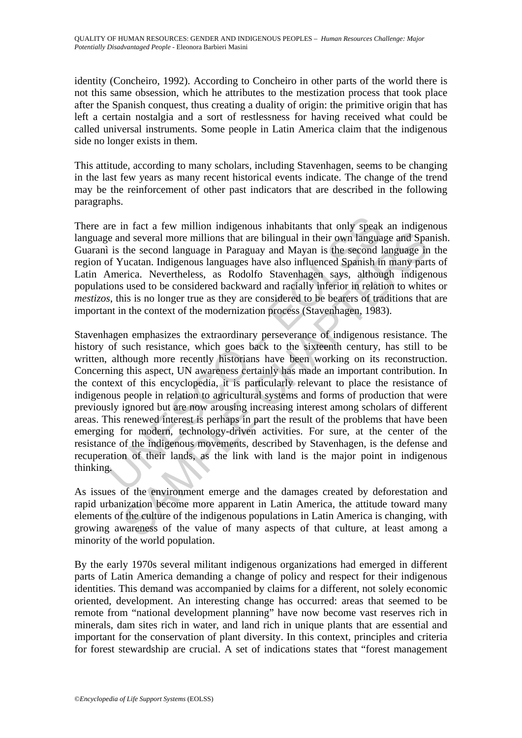identity (Concheiro, 1992). According to Concheiro in other parts of the world there is not this same obsession, which he attributes to the mestization process that took place after the Spanish conquest, thus creating a duality of origin: the primitive origin that has left a certain nostalgia and a sort of restlessness for having received what could be called universal instruments. Some people in Latin America claim that the indigenous side no longer exists in them.

This attitude, according to many scholars, including Stavenhagen, seems to be changing in the last few years as many recent historical events indicate. The change of the trend may be the reinforcement of other past indicators that are described in the following paragraphs.

There are in fact a few million indigenous inhabitants that only speak an indigenous language and several more millions that are bilingual in their own language and Spanish. Guaranì is the second language in Paraguay and Mayan is the second language in the region of Yucatan. Indigenous languages have also influenced Spanish in many parts of Latin America. Nevertheless, as Rodolfo Stavenhagen says, although indigenous populations used to be considered backward and racially inferior in relation to whites or *mestizos*, this is no longer true as they are considered to be bearers of traditions that are important in the context of the modernization process (Stavenhagen, 1983).

in fact a few million indigenous inhabitants that only speak<br>
ie and several more millions that are bilingual in their own langua<br>
is the second language in Paraguay and Mayan is the second of<br>
of Yucatan. Indigenous langu and several more millions that are bilingual in their own language and Spa<br>the second language in Paraguay and Mayan is the second language in the<br>catan. Indigenous language hive as influenced Spanish in many particua.<br>Tuc Stavenhagen emphasizes the extraordinary perseverance of indigenous resistance. The history of such resistance, which goes back to the sixteenth century, has still to be written, although more recently historians have been working on its reconstruction. Concerning this aspect, UN awareness certainly has made an important contribution. In the context of this encyclopedia, it is particularly relevant to place the resistance of indigenous people in relation to agricultural systems and forms of production that were previously ignored but are now arousing increasing interest among scholars of different areas. This renewed interest is perhaps in part the result of the problems that have been emerging for modern, technology-driven activities. For sure, at the center of the resistance of the indigenous movements, described by Stavenhagen, is the defense and recuperation of their lands, as the link with land is the major point in indigenous thinking.

As issues of the environment emerge and the damages created by deforestation and rapid urbanization become more apparent in Latin America, the attitude toward many elements of the culture of the indigenous populations in Latin America is changing, with growing awareness of the value of many aspects of that culture, at least among a minority of the world population.

By the early 1970s several militant indigenous organizations had emerged in different parts of Latin America demanding a change of policy and respect for their indigenous identities. This demand was accompanied by claims for a different, not solely economic oriented, development. An interesting change has occurred: areas that seemed to be remote from "national development planning" have now become vast reserves rich in minerals, dam sites rich in water, and land rich in unique plants that are essential and important for the conservation of plant diversity. In this context, principles and criteria for forest stewardship are crucial. A set of indications states that "forest management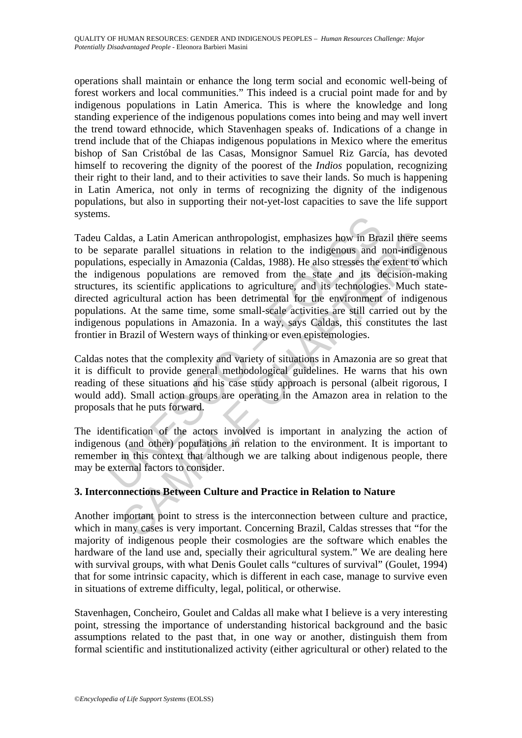operations shall maintain or enhance the long term social and economic well-being of forest workers and local communities." This indeed is a crucial point made for and by indigenous populations in Latin America. This is where the knowledge and long standing experience of the indigenous populations comes into being and may well invert the trend toward ethnocide, which Stavenhagen speaks of. Indications of a change in trend include that of the Chiapas indigenous populations in Mexico where the emeritus bishop of San Cristóbal de las Casas, Monsignor Samuel Riz García, has devoted himself to recovering the dignity of the poorest of the *Indios* population, recognizing their right to their land, and to their activities to save their lands. So much is happening in Latin America, not only in terms of recognizing the dignity of the indigenous populations, but also in supporting their not-yet-lost capacities to save the life support systems.

Caldas, a Latin American anthropologist, emphasizes how in Bra<br>
eparate parallel situations in relation to the indigenous and i<br>
cons, especially in Amazonia (Caldas, 1988). He also stresses the<br>
digenous populations are r das, a Latin American anthropologist, emphasizes how in Brazil there se<br>arate parallel situations in relation to the indigenous and non-indiger<br>s, especially in Amazonia (Caldas, 1988). He also stresses the extent to we<br>no Tadeu Caldas, a Latin American anthropologist, emphasizes how in Brazil there seems to be separate parallel situations in relation to the indigenous and non-indigenous populations, especially in Amazonia (Caldas, 1988). He also stresses the extent to which the indigenous populations are removed from the state and its decision-making structures, its scientific applications to agriculture, and its technologies. Much statedirected agricultural action has been detrimental for the environment of indigenous populations. At the same time, some small-scale activities are still carried out by the indigenous populations in Amazonia. In a way, says Caldas, this constitutes the last frontier in Brazil of Western ways of thinking or even epistemologies.

Caldas notes that the complexity and variety of situations in Amazonia are so great that it is difficult to provide general methodological guidelines. He warns that his own reading of these situations and his case study approach is personal (albeit rigorous, I would add). Small action groups are operating in the Amazon area in relation to the proposals that he puts forward.

The identification of the actors involved is important in analyzing the action of indigenous (and other) populations in relation to the environment. It is important to remember in this context that although we are talking about indigenous people, there may be external factors to consider.

## **3. Interconnections Between Culture and Practice in Relation to Nature**

Another important point to stress is the interconnection between culture and practice, which in many cases is very important. Concerning Brazil, Caldas stresses that "for the majority of indigenous people their cosmologies are the software which enables the hardware of the land use and, specially their agricultural system." We are dealing here with survival groups, with what Denis Goulet calls "cultures of survival" (Goulet, 1994) that for some intrinsic capacity, which is different in each case, manage to survive even in situations of extreme difficulty, legal, political, or otherwise.

Stavenhagen, Concheiro, Goulet and Caldas all make what I believe is a very interesting point, stressing the importance of understanding historical background and the basic assumptions related to the past that, in one way or another, distinguish them from formal scientific and institutionalized activity (either agricultural or other) related to the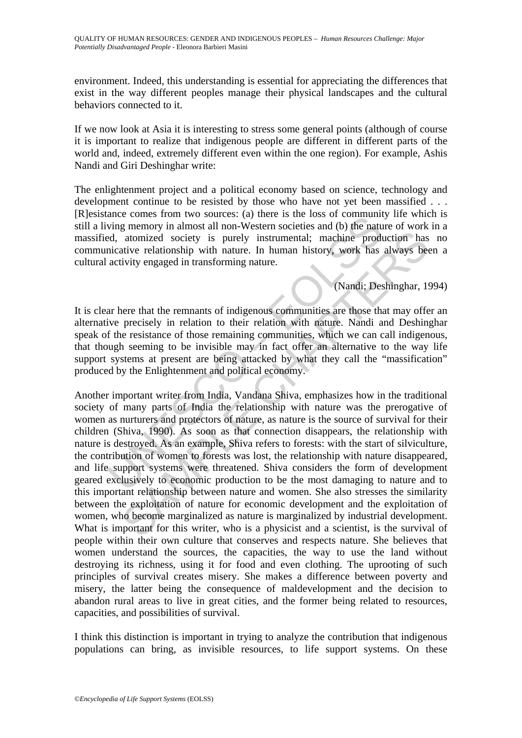environment. Indeed, this understanding is essential for appreciating the differences that exist in the way different peoples manage their physical landscapes and the cultural behaviors connected to it.

If we now look at Asia it is interesting to stress some general points (although of course it is important to realize that indigenous people are different in different parts of the world and, indeed, extremely different even within the one region). For example, Ashis Nandi and Giri Deshinghar write:

The enlightenment project and a political economy based on science, technology and development continue to be resisted by those who have not yet been massified . . . [R]esistance comes from two sources: (a) there is the loss of community life which is still a living memory in almost all non-Western societies and (b) the nature of work in a massified, atomized society is purely instrumental; machine production has no communicative relationship with nature. In human history, work has always been a cultural activity engaged in transforming nature.

# (Nandi; Deshinghar, 1994)

It is clear here that the remnants of indigenous communities are those that may offer an alternative precisely in relation to their relation with nature. Nandi and Deshinghar speak of the resistance of those remaining communities, which we can call indigenous, that though seeming to be invisible may in fact offer an alternative to the way life support systems at present are being attacked by what they call the "massification" produced by the Enlightenment and political economy.

and exclusion in two sources. (a) uter is the foss of community<br>thing memory in almost all non-Western societies and (b) the nature<br>ded, atomized society is purely instrumental; machine producative relationship with nature and solicity is purely instrumental; machine production has<br>atomized society is purely instrumental; machine production has<br>ative relationship with nature. In human history, work has always be<br>divity engaged in transformin Another important writer from India, Vandana Shiva, emphasizes how in the traditional society of many parts of India the relationship with nature was the prerogative of women as nurturers and protectors of nature, as nature is the source of survival for their children (Shiva, 1990). As soon as that connection disappears, the relationship with nature is destroyed. As an example, Shiva refers to forests: with the start of silviculture, the contribution of women to forests was lost, the relationship with nature disappeared, and life support systems were threatened. Shiva considers the form of development geared exclusively to economic production to be the most damaging to nature and to this important relationship between nature and women. She also stresses the similarity between the exploitation of nature for economic development and the exploitation of women, who become marginalized as nature is marginalized by industrial development. What is important for this writer, who is a physicist and a scientist, is the survival of people within their own culture that conserves and respects nature. She believes that women understand the sources, the capacities, the way to use the land without destroying its richness, using it for food and even clothing. The uprooting of such principles of survival creates misery. She makes a difference between poverty and misery, the latter being the consequence of maldevelopment and the decision to abandon rural areas to live in great cities, and the former being related to resources, capacities, and possibilities of survival.

I think this distinction is important in trying to analyze the contribution that indigenous populations can bring, as invisible resources, to life support systems. On these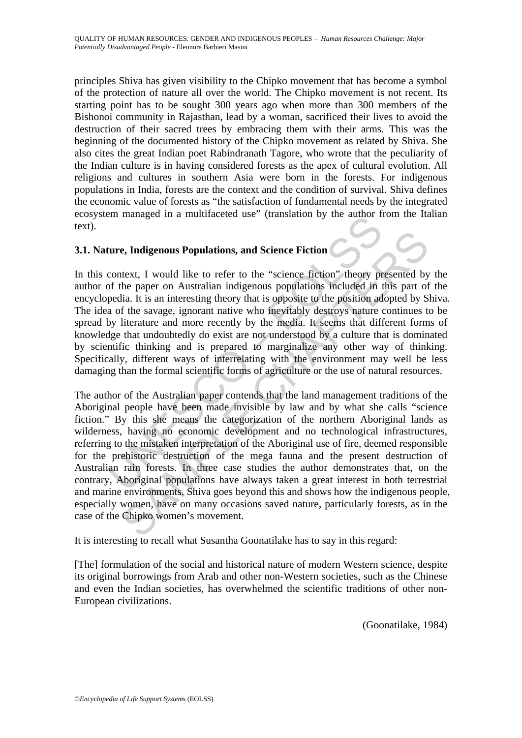principles Shiva has given visibility to the Chipko movement that has become a symbol of the protection of nature all over the world. The Chipko movement is not recent. Its starting point has to be sought 300 years ago when more than 300 members of the Bishonoi community in Rajasthan, lead by a woman, sacrificed their lives to avoid the destruction of their sacred trees by embracing them with their arms. This was the beginning of the documented history of the Chipko movement as related by Shiva. She also cites the great Indian poet Rabindranath Tagore, who wrote that the peculiarity of the Indian culture is in having considered forests as the apex of cultural evolution. All religions and cultures in southern Asia were born in the forests. For indigenous populations in India, forests are the context and the condition of survival. Shiva defines the economic value of forests as "the satisfaction of fundamental needs by the integrated ecosystem managed in a multifaceted use" (translation by the author from the Italian text).

# **3.1. Nature, Indigenous Populations, and Science Fiction**

En managed in a munitateted use (utansiation by the author in<br>ture, Indigenous Populations, and Science Fiction<br>context, I would like to refer to the "science fiction" theory profile<br>portom and the paper on Australian indi In this context, I would like to refer to the "science fiction" theory presented by the author of the paper on Australian indigenous populations included in this part of the encyclopedia. It is an interesting theory that is opposite to the position adopted by Shiva. The idea of the savage, ignorant native who inevitably destroys nature continues to be spread by literature and more recently by the media. It seems that different forms of knowledge that undoubtedly do exist are not understood by a culture that is dominated by scientific thinking and is prepared to marginalize any other way of thinking. Specifically, different ways of interrelating with the environment may well be less damaging than the formal scientific forms of agriculture or the use of natural resources.

**e, Indigenous Populations, and Science Fiction**<br>
thext, I would like to refer to the "science fiction" theory presented by<br>
the paper on Australian indigenous populations included in this part of<br>
the savage, ignorant na The author of the Australian paper contends that the land management traditions of the Aboriginal people have been made invisible by law and by what she calls "science fiction." By this she means the categorization of the northern Aboriginal lands as wilderness, having no economic development and no technological infrastructures, referring to the mistaken interpretation of the Aboriginal use of fire, deemed responsible for the prehistoric destruction of the mega fauna and the present destruction of Australian rain forests. In three case studies the author demonstrates that, on the contrary, Aboriginal populations have always taken a great interest in both terrestrial and marine environments. Shiva goes beyond this and shows how the indigenous people, especially women, have on many occasions saved nature, particularly forests, as in the case of the Chipko women's movement.

It is interesting to recall what Susantha Goonatilake has to say in this regard:

[The] formulation of the social and historical nature of modern Western science, despite its original borrowings from Arab and other non-Western societies, such as the Chinese and even the Indian societies, has overwhelmed the scientific traditions of other non-European civilizations.

(Goonatilake, 1984)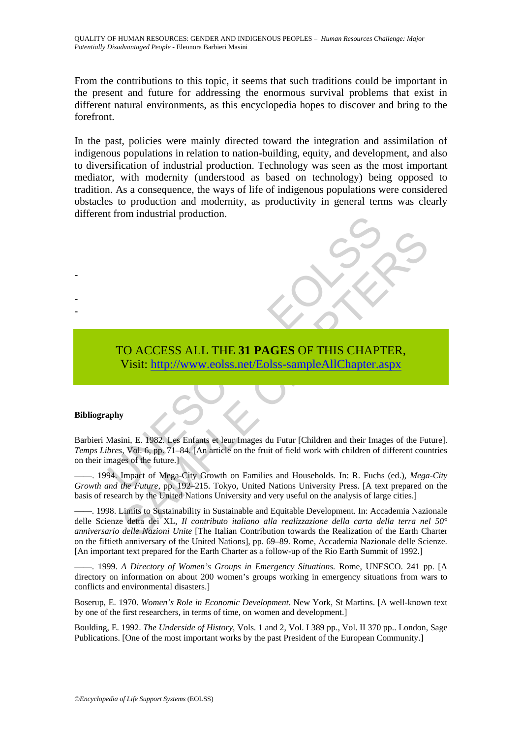From the contributions to this topic, it seems that such traditions could be important in the present and future for addressing the enormous survival problems that exist in different natural environments, as this encyclopedia hopes to discover and bring to the forefront.

In the past, policies were mainly directed toward the integration and assimilation of indigenous populations in relation to nation-building, equity, and development, and also to diversification of industrial production. Technology was seen as the most important mediator, with modernity (understood as based on technology) being opposed to tradition. As a consequence, the ways of life of indigenous populations were considered obstacles to production and modernity, as productivity in general terms was clearly different from industrial production.



#### **Bibliography**

-

- -

TO ACCESS ALL THE 31 PAGES OF THIS CHAPT<br>
Visit: http://www.eolss.net/Eolss-sampleAllChapter.a<br>
phy<br>
Masini, E. 1982. Les Enfants et leur Images du Futur [Children and their Images<br>
of the future.]<br>
All Impact of Mega-City Barbieri Masini, E. 1982. Les Enfants et leur Images du Futur [Children and their Images of the Future]. *Temps Libres*, Vol. 6, pp. 71–84. [An article on the fruit of field work with children of different countries on their images of the future.]

——. 1994. Impact of Mega-City Growth on Families and Households. In: R. Fuchs (ed.), *Mega-City Growth and the Future,* pp. 192–215. Tokyo, United Nations University Press. [A text prepared on the basis of research by the United Nations University and very useful on the analysis of large cities.]

CO ACCESS ALL THE 31 PAGES OF THIS [CHA](https://www.eolss.net/ebooklib/sc_cart.aspx?File=E1-17)PTER,<br>
Visit: http://www.colss.net/Eolss-sampleAllChapter.aspx<br>
ini, E. 1982. Les Enfants et leur Images du Futur (Children and their Images of the Future, Vol. 6, pp. 71–84. [An artic ——. 1998. Limits to Sustainability in Sustainable and Equitable Development. In: Accademia Nazionale delle Scienze detta dei XL, *Il contributo italiano alla realizzazione della carta della terra nel 50° anniversario delle Nazioni Unite* [The Italian Contribution towards the Realization of the Earth Charter on the fiftieth anniversary of the United Nations], pp. 69–89. Rome, Accademia Nazionale delle Scienze. [An important text prepared for the Earth Charter as a follow-up of the Rio Earth Summit of 1992.]

——. 1999. *A Directory of Women's Groups in Emergency Situations.* Rome, UNESCO. 241 pp. [A directory on information on about 200 women's groups working in emergency situations from wars to conflicts and environmental disasters.]

Boserup, E. 1970. *Women's Role in Economic Development*. New York, St Martins. [A well-known text by one of the first researchers, in terms of time, on women and development.]

Boulding, E. 1992. *The Underside of History*, Vols. 1 and 2, Vol. I 389 pp., Vol. II 370 pp.. London, Sage Publications. [One of the most important works by the past President of the European Community.]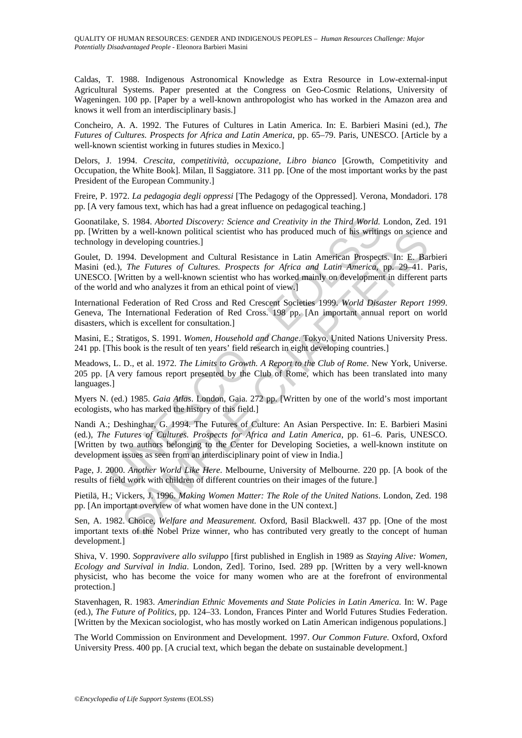Caldas, T. 1988. Indigenous Astronomical Knowledge as Extra Resource in Low-external-input Agricultural Systems. Paper presented at the Congress on Geo-Cosmic Relations, University of Wageningen. 100 pp. [Paper by a well-known anthropologist who has worked in the Amazon area and knows it well from an interdisciplinary basis.]

Concheiro, A. A. 1992. The Futures of Cultures in Latin America. In: E. Barbieri Masini (ed.), *The Futures of Cultures. Prospects for Africa and Latin America*, pp. 65–79. Paris, UNESCO. [Article by a well-known scientist working in futures studies in Mexico.]

Delors, J. 1994. *Crescita, competitività, occupazione, Libro bianco* [Growth, Competitivity and Occupation, the White Book]. Milan, Il Saggiatore. 311 pp. [One of the most important works by the past President of the European Community.]

Freire, P. 1972. *La pedagogia degli oppressi* [The Pedagogy of the Oppressed]. Verona, Mondadori. 178 pp. [A very famous text, which has had a great influence on pedagogical teaching.]

Goonatilake, S. 1984. *Aborted Discovery: Science and Creativity in the Third World.* London, Zed. 191 pp. [Written by a well-known political scientist who has produced much of his writings on science and technology in developing countries.]

Goulet, D. 1994. Development and Cultural Resistance in Latin American Prospects. In: E. Barbieri Masini (ed.), *The Futures of Cultures. Prospects for Africa and Latin America*, pp. 29–41. Paris, UNESCO. [Written by a well-known scientist who has worked mainly on development in different parts of the world and who analyzes it from an ethical point of view.]

International Federation of Red Cross and Red Crescent Societies 1999. *World Disaster Report 1999*. Geneva, The International Federation of Red Cross. 198 pp. [An important annual report on world disasters, which is excellent for consultation.]

Masini, E.; Stratigos, S. 1991. *Women, Household and Change*. Tokyo, United Nations University Press. 241 pp. [This book is the result of ten years' field research in eight developing countries.]

Meadows, L. D., et al. 1972. *The Limits to Growth. A Report to the Club of Rome*. New York, Universe. 205 pp. [A very famous report presented by the Club of Rome, which has been translated into many languages.]

Myers N. (ed.) 1985. *Gaia Atlas*. London, Gaia. 272 pp. [Written by one of the world's most important ecologists, who has marked the history of this field.]

kke, S. 1984. *Aborted Discovery: Science and Creativity in the Third World*.<br>ten by a well-known political scientist who has produced much of his writin<br>ten by a well-known political scientist who has produced much of his by a well-known political scientist who has produced much of his writings on science<br>by a well-known political scientist who has produced much of his writings on science<br>994. Development and Cultural Resistance in Latin A Nandi A.; Deshinghar, G. 1994. The Futures of Culture: An Asian Perspective. In: E. Barbieri Masini (ed.), *The Futures of Cultures. Prospects for Africa and Latin America*, pp. 61–6. Paris, UNESCO. [Written by two authors belonging to the Center for Developing Societies, a well-known institute on development issues as seen from an interdisciplinary point of view in India.]

Page, J. 2000. *Another World Like Here*. Melbourne, University of Melbourne. 220 pp. [A book of the results of field work with children of different countries on their images of the future.]

Pietilä, H.; Vickers, J. 1996. *Making Women Matter: The Role of the United Nations*. London, Zed. 198 pp. [An important overview of what women have done in the UN context.]

Sen, A. 1982. Choice, *Welfare and Measurement.* Oxford, Basil Blackwell. 437 pp. [One of the most important texts of the Nobel Prize winner, who has contributed very greatly to the concept of human development.]

Shiva, V. 1990. *Soppravivere allo sviluppo* [first published in English in 1989 as *Staying Alive: Women, Ecology and Survival in India*. London, Zed]. Torino, Ised. 289 pp. [Written by a very well-known physicist, who has become the voice for many women who are at the forefront of environmental protection.]

Stavenhagen, R. 1983. *Amerindian Ethnic Movements and State Policies in Latin America.* In: W. Page (ed.), *The Future of Politics*, pp. 124–33. London, Frances Pinter and World Futures Studies Federation. [Written by the Mexican sociologist, who has mostly worked on Latin American indigenous populations.]

The World Commission on Environment and Development. 1997. *Our Common Future.* Oxford, Oxford University Press. 400 pp. [A crucial text, which began the debate on sustainable development.]